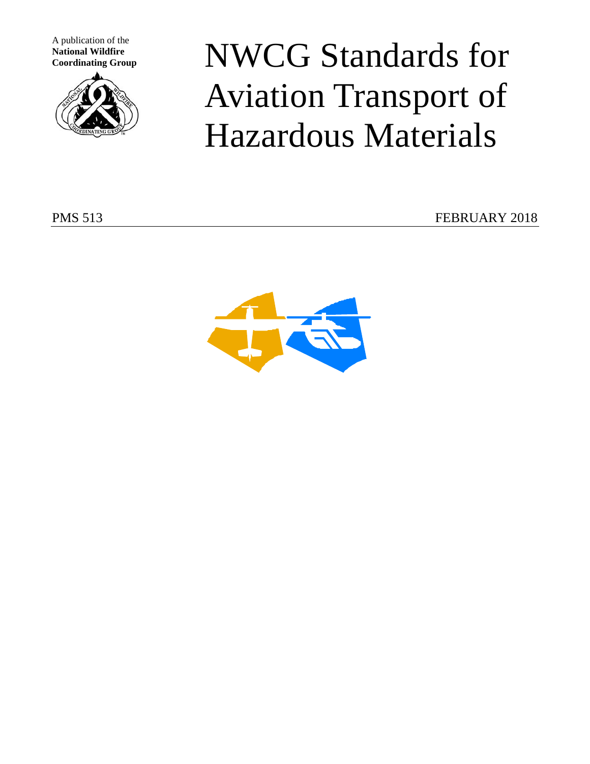A publication of the **National Wildfire**



*N* National Wildfire Coordinating Group **NWCG** Standards for Aviation Transport of Hazardous Materials

PMS 513 FEBRUARY 2018

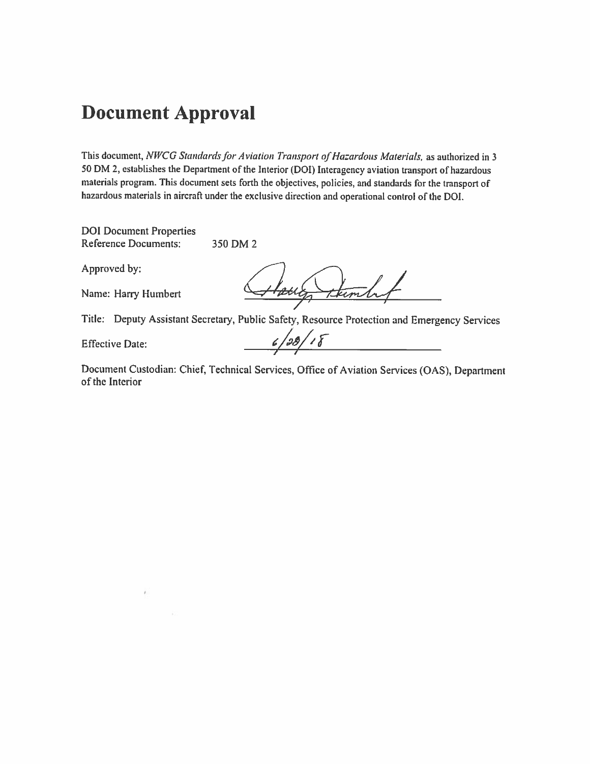### **Document Approval**

This document, NWCG Standards for Aviation Transport of Hazardous Materials, as authorized in 3 50 DM 2, establishes the Department of the Interior (DOI) Interagency aviation transport of hazardous materials program. This document sets forth the objectives, policies, and standards for the transport of hazardous materials in aircraft under the exclusive direction and operational control of the DOI.

**DOI** Document Properties **Reference Documents:** 350 DM 2

Approved by:

Name: Harry Humbert

thembut Havig

Title: Deputy Assistant Secretary, Public Safety, Resource Protection and Emergency Services

**Effective Date:** 

 $6/28/18$ 

Document Custodian: Chief, Technical Services, Office of Aviation Services (OAS), Department of the Interior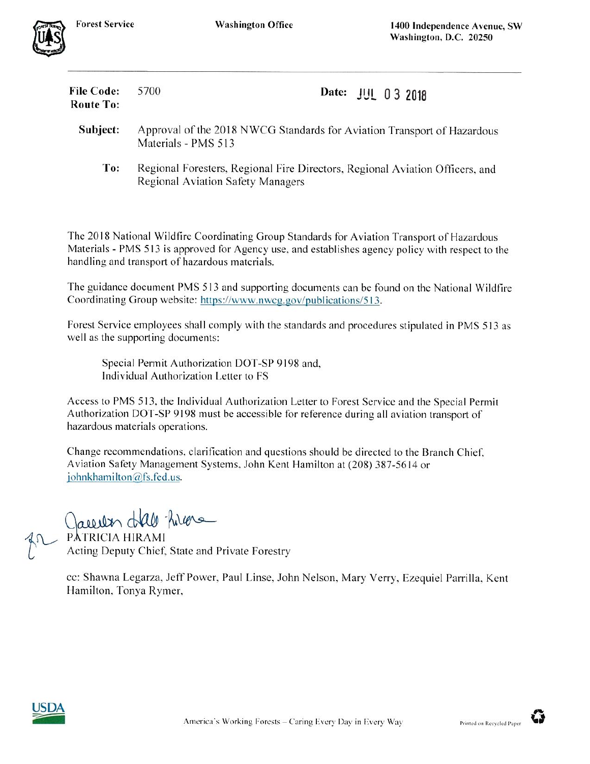| <b>File Code:</b><br><b>Route To:</b> | 5700                                                                                           | Date: JUL 03 2018                                                            |  |  |  |
|---------------------------------------|------------------------------------------------------------------------------------------------|------------------------------------------------------------------------------|--|--|--|
| Subject:                              | Approval of the 2018 NWCG Standards for Aviation Transport of Hazardous<br>Materials - PMS 513 |                                                                              |  |  |  |
| To:                                   | <b>Regional Aviation Safety Managers</b>                                                       | Regional Foresters, Regional Fire Directors, Regional Aviation Officers, and |  |  |  |

The 2018 National Wildfire Coordinating Group Standards for Aviation Transport of Hazardous Materials - PMS 513 is approved for Agency use, and establishes agency policy with respect to the handling and transport of hazardous materials.

The guidance document PMS 513 and supporting documents can be found on the National Wildfire Coordinating Group website: https://www.nwcg.gov/publications/513.

Forest Service employees shall comply with the standards and procedures stipulated in PMS 513 as well as the supporting documents:

Special Permit Authorization DOT-SP 9198 and, Individual Authorization Letter to FS

Access to PMS 513, the Individual Authorization Letter to Forest Service and the Special Permit Authorization DOT-SP 9198 must be accessible for reference during all aviation transport of hazardous materials operations.

Change recommendations, clarification and questions should be directed to the Branch Chief, Aviation Safety Management Systems, John Kent Hamilton at (208) 387-5614 or johnkhamilton@fs.fed.us.

Caucular dall hiera

PATRICIA HIRAMI Acting Deputy Chief, State and Private Forestry

cc: Shawna Legarza, Jeff Power, Paul Linse, John Nelson, Mary Verry, Ezequiel Parrilla, Kent Hamilton, Tonya Rymer,



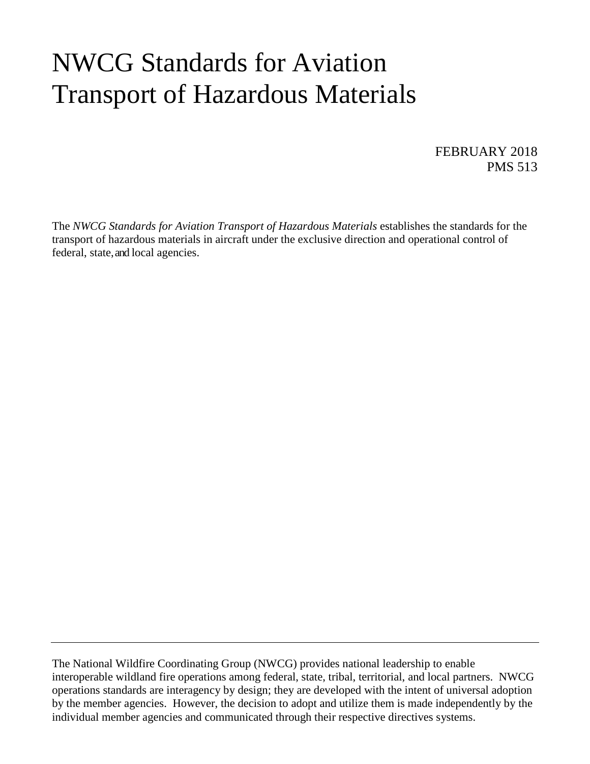# NWCG Standards for Aviation Transport of Hazardous Materials

FEBRUARY 2018 PMS 513

The *NWCG Standards for Aviation Transport of Hazardous Materials* establishes the standards for the transport of hazardous materials in aircraft under the exclusive direction and operational control of federal, state, and local agencies.

The National Wildfire Coordinating Group (NWCG) provides national leadership to enable interoperable wildland fire operations among federal, state, tribal, territorial, and local partners. NWCG operations standards are interagency by design; they are developed with the intent of universal adoption by the member agencies. However, the decision to adopt and utilize them is made independently by the individual member agencies and communicated through their respective directives systems.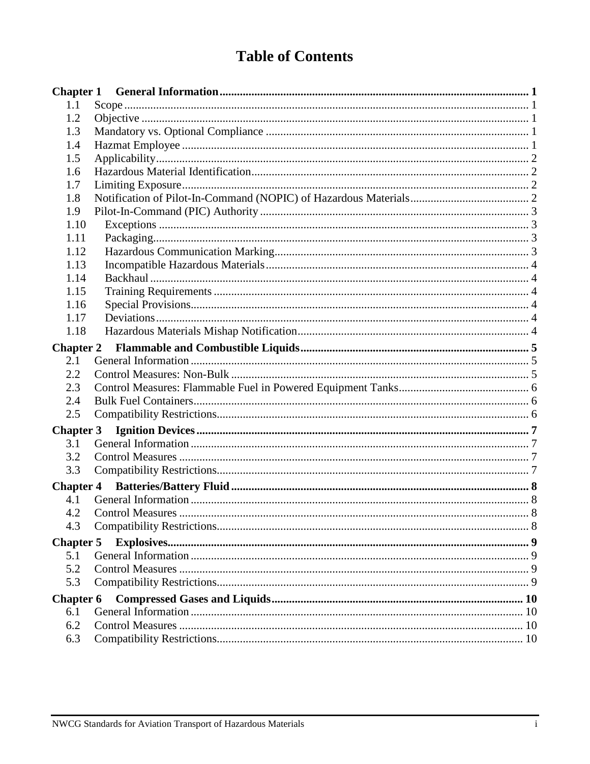### **Table of Contents**

| <b>Chapter 1</b> |  |
|------------------|--|
| 1.1              |  |
| 1.2              |  |
| 1.3              |  |
| 1.4              |  |
| 1.5              |  |
| 1.6              |  |
| 1.7              |  |
| 1.8              |  |
| 1.9              |  |
| 1.10             |  |
| 1.11             |  |
| 1.12             |  |
| 1.13             |  |
| 1.14             |  |
| 1.15             |  |
| 1.16             |  |
| 1.17             |  |
| 1.18             |  |
| <b>Chapter 2</b> |  |
| 2.1              |  |
| 2.2              |  |
| 2.3              |  |
| 2.4              |  |
| 2.5              |  |
| <b>Chapter 3</b> |  |
| 3.1              |  |
| 3.2              |  |
| 3.3              |  |
| <b>Chapter 4</b> |  |
| 4.1              |  |
| 4.2              |  |
| 4.3              |  |
| <b>Chapter 5</b> |  |
| 5.1              |  |
| 5.2              |  |
| 5.3              |  |
|                  |  |
| <b>Chapter 6</b> |  |
| 6.1<br>6.2       |  |
|                  |  |
| 6.3              |  |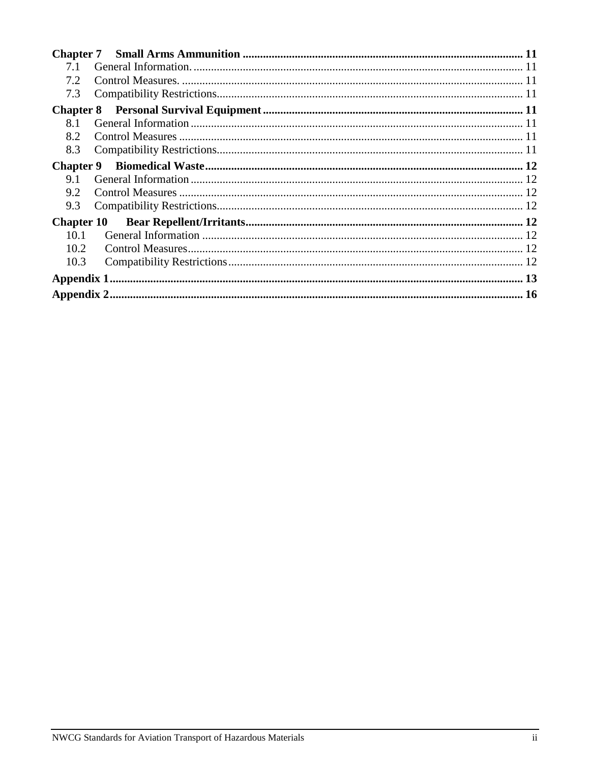| 7.1               |  |
|-------------------|--|
| 7.2               |  |
| 7.3               |  |
|                   |  |
| 8.1               |  |
| 8.2               |  |
| 8.3               |  |
| <b>Chapter 9</b>  |  |
| 9.1               |  |
| 9.2               |  |
| 9.3               |  |
| <b>Chapter 10</b> |  |
| 10.1              |  |
| 10.2              |  |
| 10.3              |  |
|                   |  |
|                   |  |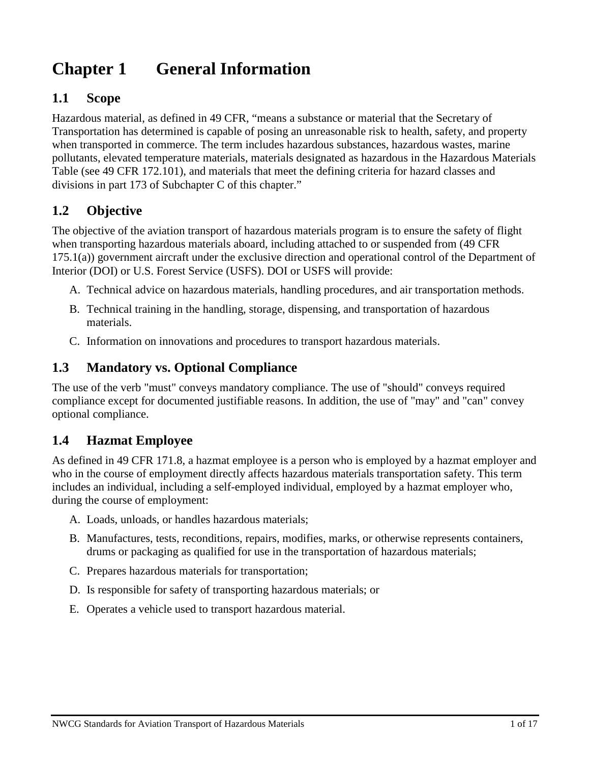# **Chapter 1 General Information**

### **1.1 Scope**

Hazardous material, as defined in 49 CFR, "means a substance or material that the Secretary of Transportation has determined is capable of posing an unreasonable risk to health, safety, and property when transported in commerce. The term includes hazardous substances, hazardous wastes, marine pollutants, elevated temperature materials, materials designated as hazardous in the Hazardous Materials Table (see 49 CFR 172.101), and materials that meet the defining criteria for hazard classes and divisions in part 173 of Subchapter C of this chapter."

### **1.2 Objective**

The objective of the aviation transport of hazardous materials program is to ensure the safety of flight when transporting hazardous materials aboard, including attached to or suspended from (49 CFR 175.1(a)) government aircraft under the exclusive direction and operational control of the Department of Interior (DOI) or U.S. Forest Service (USFS). DOI or USFS will provide:

- A. Technical advice on hazardous materials, handling procedures, and air transportation methods.
- B. Technical training in the handling, storage, dispensing, and transportation of hazardous materials.
- C. Information on innovations and procedures to transport hazardous materials.

#### **1.3 Mandatory vs. Optional Compliance**

The use of the verb "must" conveys mandatory compliance. The use of "should" conveys required compliance except for documented justifiable reasons. In addition, the use of "may" and "can" convey optional compliance.

### **1.4 Hazmat Employee**

As defined in 49 CFR 171.8, a hazmat employee is a person who is employed by a hazmat employer and who in the course of employment directly affects hazardous materials transportation safety. This term includes an individual, including a self-employed individual, employed by a hazmat employer who, during the course of employment:

- A. Loads, unloads, or handles hazardous materials;
- B. Manufactures, tests, reconditions, repairs, modifies, marks, or otherwise represents containers, drums or packaging as qualified for use in the transportation of hazardous materials;
- C. Prepares hazardous materials for transportation;
- D. Is responsible for safety of transporting hazardous materials; or
- E. Operates a vehicle used to transport hazardous material.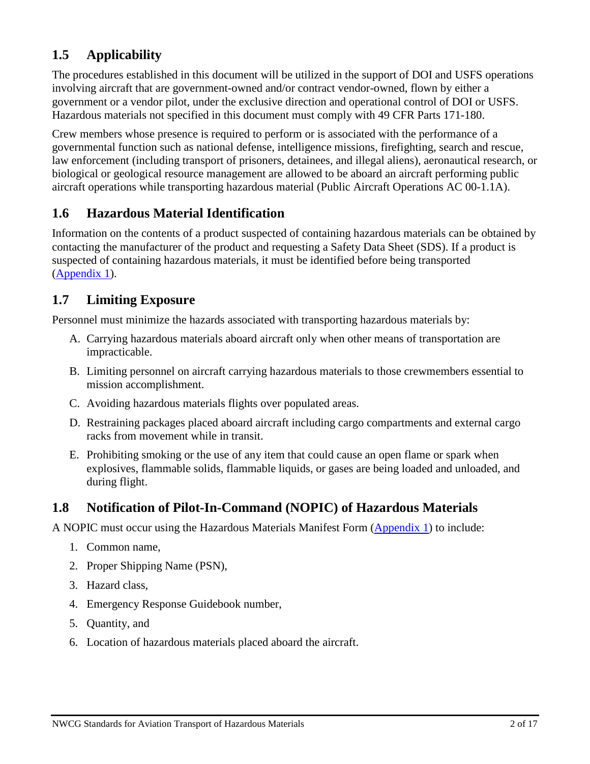### **1.5 Applicability**

The procedures established in this document will be utilized in the support of DOI and USFS operations involving aircraft that are government-owned and/or contract vendor-owned, flown by either a government or a vendor pilot, under the exclusive direction and operational control of DOI or USFS. Hazardous materials not specified in this document must comply with 49 CFR Parts 171-180.

Crew members whose presence is required to perform or is associated with the performance of a governmental function such as national defense, intelligence missions, firefighting, search and rescue, law enforcement (including transport of prisoners, detainees, and illegal aliens), aeronautical research, or biological or geological resource management are allowed to be aboard an aircraft performing public aircraft operations while transporting hazardous material (Public Aircraft Operations AC 00-1.1A).

### **1.6 Hazardous Material Identification**

Information on the contents of a product suspected of containing hazardous materials can be obtained by contacting the manufacturer of the product and requesting a Safety Data Sheet (SDS). If a product is suspected of containing hazardous materials, it must be identified before being transported [\(Appendix](#page-18-0) 1).

### **1.7 Limiting Exposure**

Personnel must minimize the hazards associated with transporting hazardous materials by:

- A. Carrying hazardous materials aboard aircraft only when other means of transportation are impracticable.
- B. Limiting personnel on aircraft carrying hazardous materials to those crewmembers essential to mission accomplishment.
- C. Avoiding hazardous materials flights over populated areas.
- D. Restraining packages placed aboard aircraft including cargo compartments and external cargo racks from movement while in transit.
- E. Prohibiting smoking or the use of any item that could cause an open flame or spark when explosives, flammable solids, flammable liquids, or gases are being loaded and unloaded, and during flight.

### **1.8 Notification of Pilot-In-Command (NOPIC) of Hazardous Materials**

A NOPIC must occur using the Hazardous Materials Manifest Form [\(Appendix](#page-18-0) 1) to include:

- 1. Common name,
- 2. Proper Shipping Name (PSN),
- 3. Hazard class,
- 4. Emergency Response Guidebook number,
- 5. Quantity, and
- 6. Location of hazardous materials placed aboard the aircraft.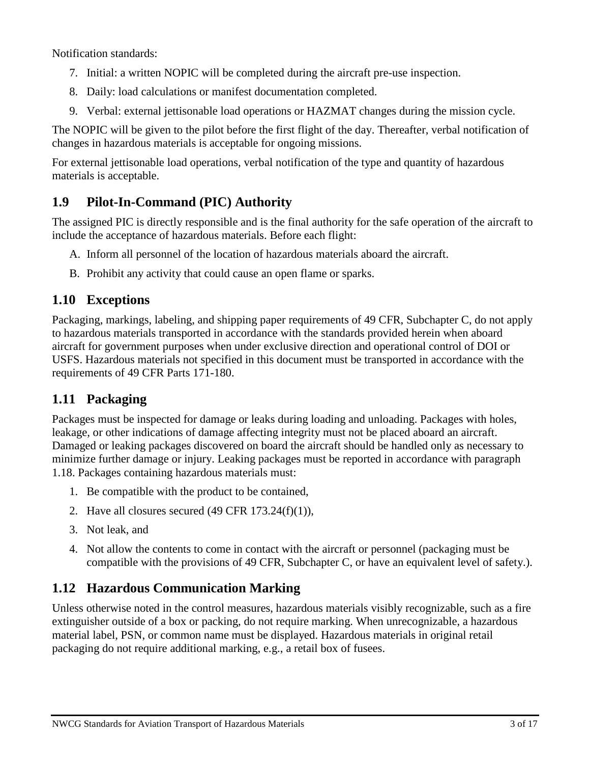Notification standards:

- 7. Initial: a written NOPIC will be completed during the aircraft pre-use inspection.
- 8. Daily: load calculations or manifest documentation completed.
- 9. Verbal: external jettisonable load operations or HAZMAT changes during the mission cycle.

The NOPIC will be given to the pilot before the first flight of the day. Thereafter, verbal notification of changes in hazardous materials is acceptable for ongoing missions.

For external jettisonable load operations, verbal notification of the type and quantity of hazardous materials is acceptable.

### **1.9 Pilot-In-Command (PIC) Authority**

The assigned PIC is directly responsible and is the final authority for the safe operation of the aircraft to include the acceptance of hazardous materials. Before each flight:

- A. Inform all personnel of the location of hazardous materials aboard the aircraft.
- B. Prohibit any activity that could cause an open flame or sparks.

### **1.10 Exceptions**

Packaging, markings, labeling, and shipping paper requirements of 49 CFR, Subchapter C, do not apply to hazardous materials transported in accordance with the standards provided herein when aboard aircraft for government purposes when under exclusive direction and operational control of DOI or USFS. Hazardous materials not specified in this document must be transported in accordance with the requirements of 49 CFR Parts 171-180.

### **1.11 Packaging**

Packages must be inspected for damage or leaks during loading and unloading. Packages with holes, leakage, or other indications of damage affecting integrity must not be placed aboard an aircraft. Damaged or leaking packages discovered on board the aircraft should be handled only as necessary to minimize further damage or injury. Leaking packages must be reported in accordance with paragraph 1.18. Packages containing hazardous materials must:

- 1. Be compatible with the product to be contained,
- 2. Have all closures secured  $(49 \text{ CFR } 173.24(f)(1)),$
- 3. Not leak, and
- 4. Not allow the contents to come in contact with the aircraft or personnel (packaging must be compatible with the provisions of 49 CFR, Subchapter C, or have an equivalent level of safety.).

### **1.12 Hazardous Communication Marking**

Unless otherwise noted in the control measures, hazardous materials visibly recognizable, such as a fire extinguisher outside of a box or packing, do not require marking. When unrecognizable, a hazardous material label, PSN, or common name must be displayed. Hazardous materials in original retail packaging do not require additional marking, e.g., a retail box of fusees.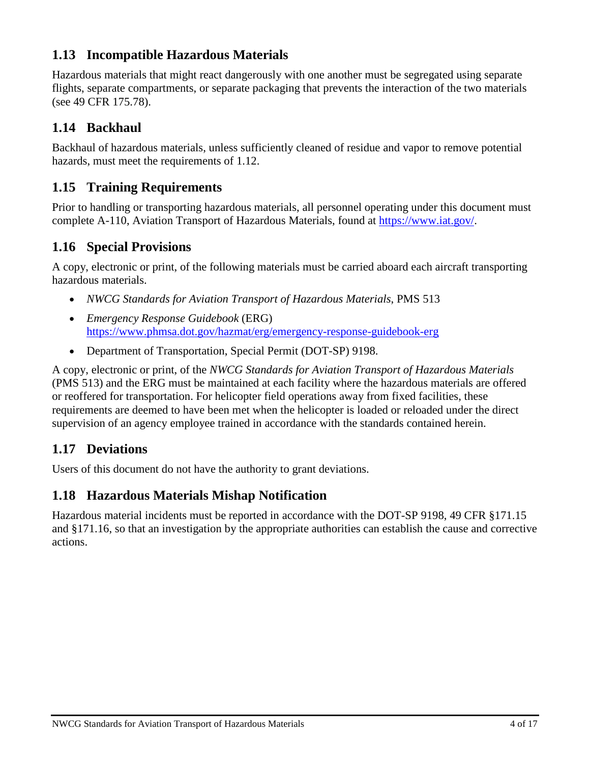### **1.13 Incompatible Hazardous Materials**

Hazardous materials that might react dangerously with one another must be segregated using separate flights, separate compartments, or separate packaging that prevents the interaction of the two materials (see 49 CFR 175.78).

### **1.14 Backhaul**

Backhaul of hazardous materials, unless sufficiently cleaned of residue and vapor to remove potential hazards, must meet the requirements of 1.12.

### **1.15 Training Requirements**

Prior to handling or transporting hazardous materials, all personnel operating under this document must complete A-110, Aviation Transport of Hazardous Materials, found at [https://www.iat.gov/.](https://www.iat.gov/)

### **1.16 Special Provisions**

A copy, electronic or print, of the following materials must be carried aboard each aircraft transporting hazardous materials.

- *NWCG Standards for Aviation Transport of Hazardous Materials*, PMS 513
- *Emergency Response Guidebook* (ERG) https://www.phmsa.dot.gov/hazmat/erg/emergency-response-guidebook-erg
- Department of Transportation, Special Permit (DOT-SP) 9198.

A copy, electronic or print, of the *NWCG Standards for Aviation Transport of Hazardous Materials* (PMS 513) and the ERG must be maintained at each facility where the hazardous materials are offered or reoffered for transportation. For helicopter field operations away from fixed facilities, these requirements are deemed to have been met when the helicopter is loaded or reloaded under the direct supervision of an agency employee trained in accordance with the standards contained herein.

### **1.17 Deviations**

Users of this document do not have the authority to grant deviations.

### **1.18 Hazardous Materials Mishap Notification**

Hazardous material incidents must be reported in accordance with the DOT-SP 9198, 49 CFR §171.15 and §171.16, so that an investigation by the appropriate authorities can establish the cause and corrective actions.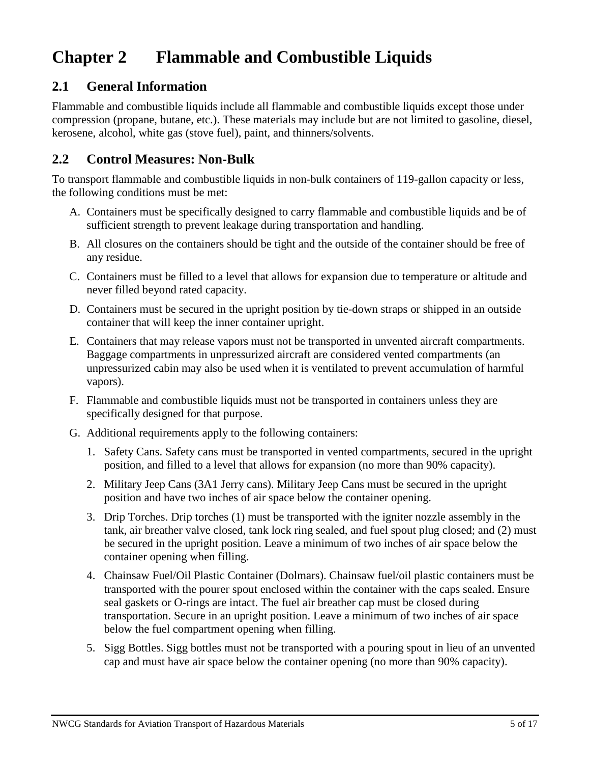### **Chapter 2 Flammable and Combustible Liquids**

### **2.1 General Information**

Flammable and combustible liquids include all flammable and combustible liquids except those under compression (propane, butane, etc.). These materials may include but are not limited to gasoline, diesel, kerosene, alcohol, white gas (stove fuel), paint, and thinners/solvents.

### **2.2 Control Measures: Non-Bulk**

To transport flammable and combustible liquids in non-bulk containers of 119-gallon capacity or less, the following conditions must be met:

- A. Containers must be specifically designed to carry flammable and combustible liquids and be of sufficient strength to prevent leakage during transportation and handling.
- B. All closures on the containers should be tight and the outside of the container should be free of any residue.
- C. Containers must be filled to a level that allows for expansion due to temperature or altitude and never filled beyond rated capacity.
- D. Containers must be secured in the upright position by tie-down straps or shipped in an outside container that will keep the inner container upright.
- E. Containers that may release vapors must not be transported in unvented aircraft compartments. Baggage compartments in unpressurized aircraft are considered vented compartments (an unpressurized cabin may also be used when it is ventilated to prevent accumulation of harmful vapors).
- F. Flammable and combustible liquids must not be transported in containers unless they are specifically designed for that purpose.
- G. Additional requirements apply to the following containers:
	- 1. Safety Cans. Safety cans must be transported in vented compartments, secured in the upright position, and filled to a level that allows for expansion (no more than 90% capacity).
	- 2. Military Jeep Cans (3A1 Jerry cans). Military Jeep Cans must be secured in the upright position and have two inches of air space below the container opening.
	- 3. Drip Torches. Drip torches (1) must be transported with the igniter nozzle assembly in the tank, air breather valve closed, tank lock ring sealed, and fuel spout plug closed; and (2) must be secured in the upright position. Leave a minimum of two inches of air space below the container opening when filling.
	- 4. Chainsaw Fuel/Oil Plastic Container (Dolmars). Chainsaw fuel/oil plastic containers must be transported with the pourer spout enclosed within the container with the caps sealed. Ensure seal gaskets or O-rings are intact. The fuel air breather cap must be closed during transportation. Secure in an upright position. Leave a minimum of two inches of air space below the fuel compartment opening when filling.
	- 5. Sigg Bottles. Sigg bottles must not be transported with a pouring spout in lieu of an unvented cap and must have air space below the container opening (no more than 90% capacity).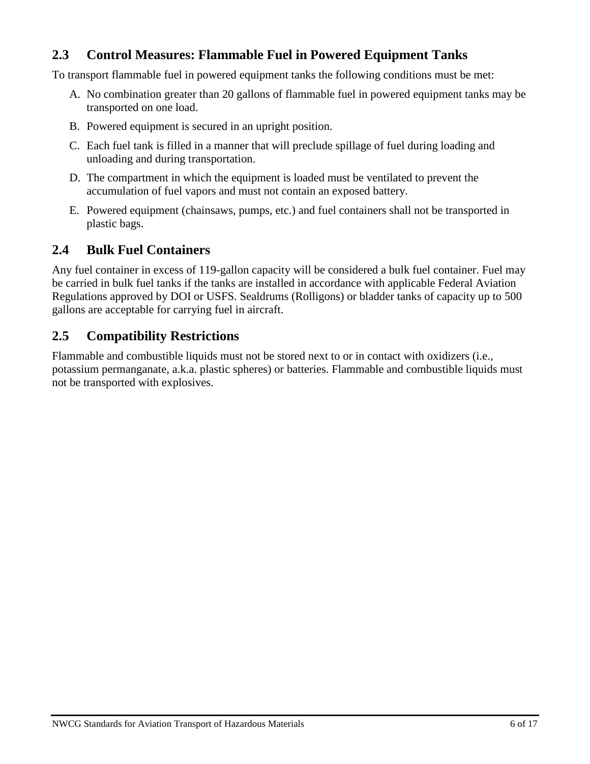### **2.3 Control Measures: Flammable Fuel in Powered Equipment Tanks**

To transport flammable fuel in powered equipment tanks the following conditions must be met:

- A. No combination greater than 20 gallons of flammable fuel in powered equipment tanks may be transported on one load.
- B. Powered equipment is secured in an upright position.
- C. Each fuel tank is filled in a manner that will preclude spillage of fuel during loading and unloading and during transportation.
- D. The compartment in which the equipment is loaded must be ventilated to prevent the accumulation of fuel vapors and must not contain an exposed battery.
- E. Powered equipment (chainsaws, pumps, etc.) and fuel containers shall not be transported in plastic bags.

### **2.4 Bulk Fuel Containers**

Any fuel container in excess of 119-gallon capacity will be considered a bulk fuel container. Fuel may be carried in bulk fuel tanks if the tanks are installed in accordance with applicable Federal Aviation Regulations approved by DOI or USFS. Sealdrums (Rolligons) or bladder tanks of capacity up to 500 gallons are acceptable for carrying fuel in aircraft.

### **2.5 Compatibility Restrictions**

Flammable and combustible liquids must not be stored next to or in contact with oxidizers (i.e., potassium permanganate, a.k.a. plastic spheres) or batteries. Flammable and combustible liquids must not be transported with explosives.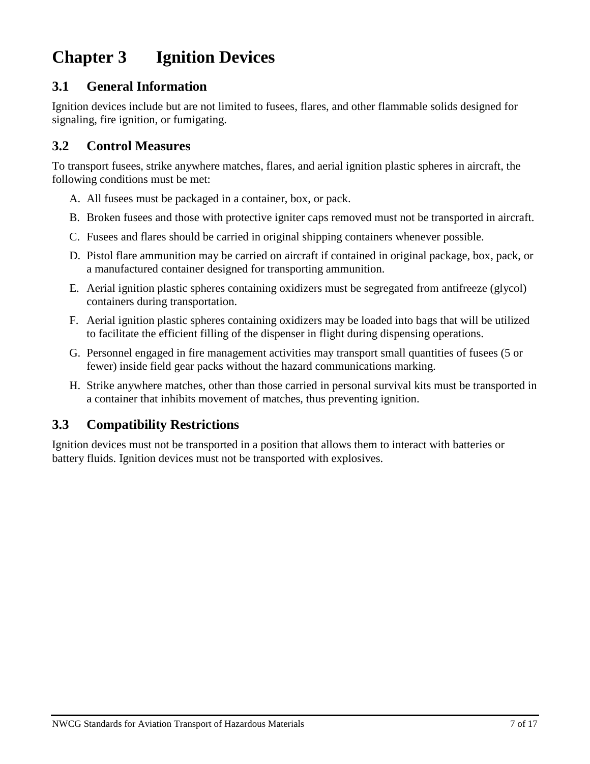# **Chapter 3 Ignition Devices**

### **3.1 General Information**

Ignition devices include but are not limited to fusees, flares, and other flammable solids designed for signaling, fire ignition, or fumigating.

### **3.2 Control Measures**

To transport fusees, strike anywhere matches, flares, and aerial ignition plastic spheres in aircraft, the following conditions must be met:

- A. All fusees must be packaged in a container, box, or pack.
- B. Broken fusees and those with protective igniter caps removed must not be transported in aircraft.
- C. Fusees and flares should be carried in original shipping containers whenever possible.
- D. Pistol flare ammunition may be carried on aircraft if contained in original package, box, pack, or a manufactured container designed for transporting ammunition.
- E. Aerial ignition plastic spheres containing oxidizers must be segregated from antifreeze (glycol) containers during transportation.
- F. Aerial ignition plastic spheres containing oxidizers may be loaded into bags that will be utilized to facilitate the efficient filling of the dispenser in flight during dispensing operations.
- G. Personnel engaged in fire management activities may transport small quantities of fusees (5 or fewer) inside field gear packs without the hazard communications marking.
- H. Strike anywhere matches, other than those carried in personal survival kits must be transported in a container that inhibits movement of matches, thus preventing ignition.

### **3.3 Compatibility Restrictions**

Ignition devices must not be transported in a position that allows them to interact with batteries or battery fluids. Ignition devices must not be transported with explosives.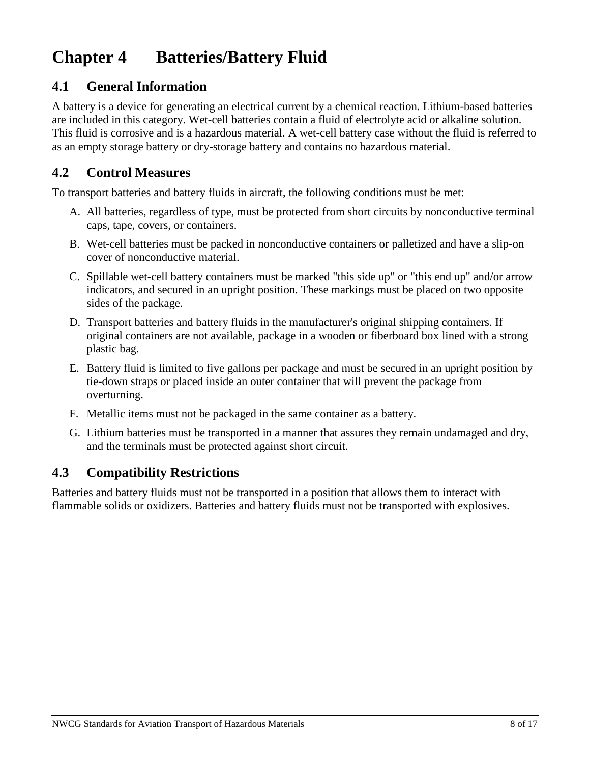# **Chapter 4 Batteries/Battery Fluid**

### **4.1 General Information**

A battery is a device for generating an electrical current by a chemical reaction. Lithium-based batteries are included in this category. Wet-cell batteries contain a fluid of electrolyte acid or alkaline solution. This fluid is corrosive and is a hazardous material. A wet-cell battery case without the fluid is referred to as an empty storage battery or dry-storage battery and contains no hazardous material.

### **4.2 Control Measures**

To transport batteries and battery fluids in aircraft, the following conditions must be met:

- A. All batteries, regardless of type, must be protected from short circuits by nonconductive terminal caps, tape, covers, or containers.
- B. Wet-cell batteries must be packed in nonconductive containers or palletized and have a slip-on cover of nonconductive material.
- C. Spillable wet-cell battery containers must be marked "this side up" or "this end up" and/or arrow indicators, and secured in an upright position. These markings must be placed on two opposite sides of the package.
- D. Transport batteries and battery fluids in the manufacturer's original shipping containers. If original containers are not available, package in a wooden or fiberboard box lined with a strong plastic bag.
- E. Battery fluid is limited to five gallons per package and must be secured in an upright position by tie-down straps or placed inside an outer container that will prevent the package from overturning.
- F. Metallic items must not be packaged in the same container as a battery.
- G. Lithium batteries must be transported in a manner that assures they remain undamaged and dry, and the terminals must be protected against short circuit.

### **4.3 Compatibility Restrictions**

Batteries and battery fluids must not be transported in a position that allows them to interact with flammable solids or oxidizers. Batteries and battery fluids must not be transported with explosives.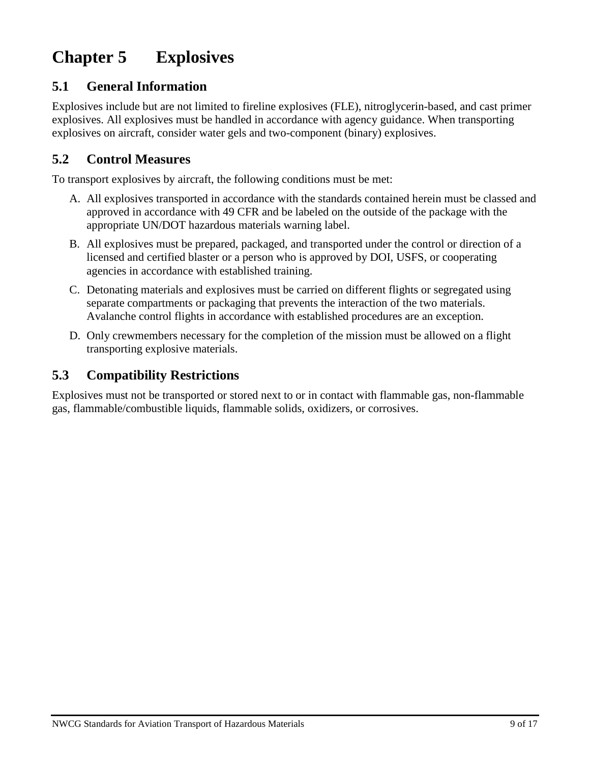# **Chapter 5 Explosives**

### **5.1 General Information**

Explosives include but are not limited to fireline explosives (FLE), nitroglycerin-based, and cast primer explosives. All explosives must be handled in accordance with agency guidance. When transporting explosives on aircraft, consider water gels and two-component (binary) explosives.

### **5.2 Control Measures**

To transport explosives by aircraft, the following conditions must be met:

- A. All explosives transported in accordance with the standards contained herein must be classed and approved in accordance with 49 CFR and be labeled on the outside of the package with the appropriate UN/DOT hazardous materials warning label.
- B. All explosives must be prepared, packaged, and transported under the control or direction of a licensed and certified blaster or a person who is approved by DOI, USFS, or cooperating agencies in accordance with established training.
- C. Detonating materials and explosives must be carried on different flights or segregated using separate compartments or packaging that prevents the interaction of the two materials. Avalanche control flights in accordance with established procedures are an exception.
- D. Only crewmembers necessary for the completion of the mission must be allowed on a flight transporting explosive materials.

### **5.3 Compatibility Restrictions**

Explosives must not be transported or stored next to or in contact with flammable gas, non-flammable gas, flammable/combustible liquids, flammable solids, oxidizers, or corrosives.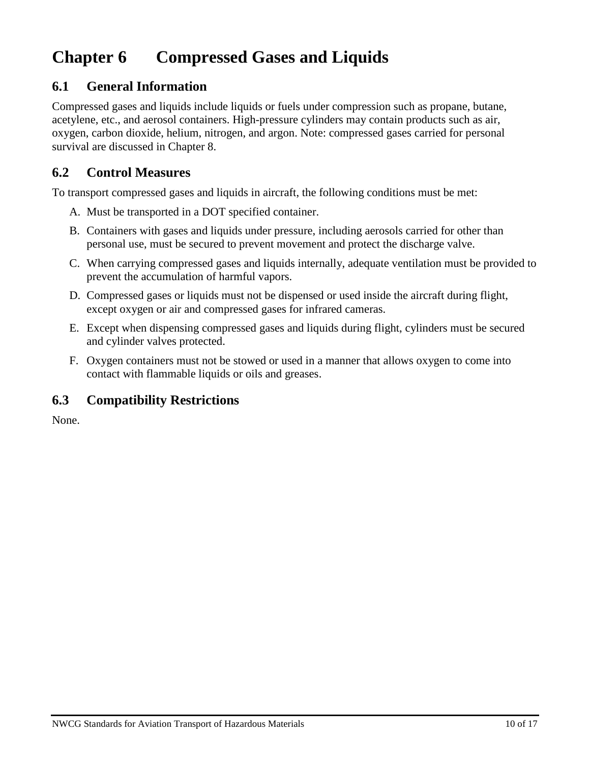### **Chapter 6 Compressed Gases and Liquids**

### **6.1 General Information**

Compressed gases and liquids include liquids or fuels under compression such as propane, butane, acetylene, etc., and aerosol containers. High-pressure cylinders may contain products such as air, oxygen, carbon dioxide, helium, nitrogen, and argon. Note: compressed gases carried for personal survival are discussed in Chapter 8.

#### **6.2 Control Measures**

To transport compressed gases and liquids in aircraft, the following conditions must be met:

- A. Must be transported in a DOT specified container.
- B. Containers with gases and liquids under pressure, including aerosols carried for other than personal use, must be secured to prevent movement and protect the discharge valve.
- C. When carrying compressed gases and liquids internally, adequate ventilation must be provided to prevent the accumulation of harmful vapors.
- D. Compressed gases or liquids must not be dispensed or used inside the aircraft during flight, except oxygen or air and compressed gases for infrared cameras.
- E. Except when dispensing compressed gases and liquids during flight, cylinders must be secured and cylinder valves protected.
- F. Oxygen containers must not be stowed or used in a manner that allows oxygen to come into contact with flammable liquids or oils and greases.

### **6.3 Compatibility Restrictions**

None.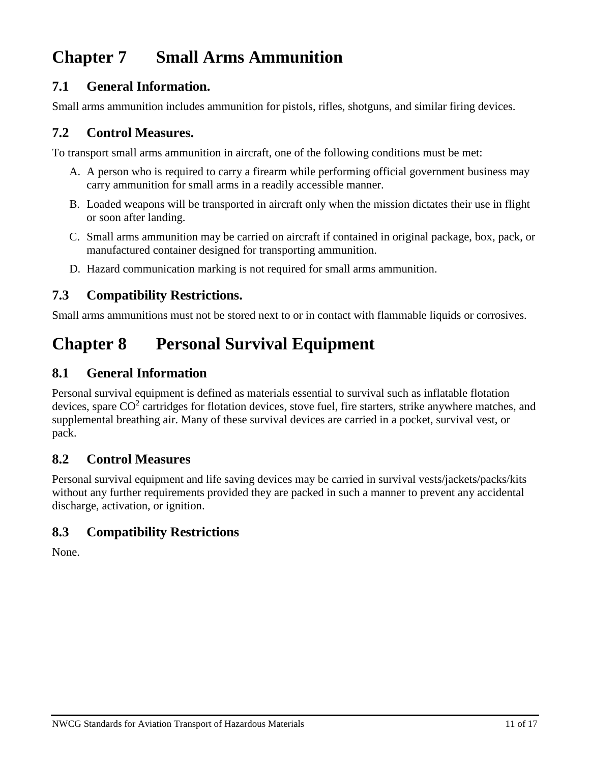### **Chapter 7 Small Arms Ammunition**

### **7.1 General Information.**

Small arms ammunition includes ammunition for pistols, rifles, shotguns, and similar firing devices.

### **7.2 Control Measures.**

To transport small arms ammunition in aircraft, one of the following conditions must be met:

- A. A person who is required to carry a firearm while performing official government business may carry ammunition for small arms in a readily accessible manner.
- B. Loaded weapons will be transported in aircraft only when the mission dictates their use in flight or soon after landing.
- C. Small arms ammunition may be carried on aircraft if contained in original package, box, pack, or manufactured container designed for transporting ammunition.
- D. Hazard communication marking is not required for small arms ammunition.

### **7.3 Compatibility Restrictions.**

Small arms ammunitions must not be stored next to or in contact with flammable liquids or corrosives.

### **Chapter 8 Personal Survival Equipment**

### **8.1 General Information**

Personal survival equipment is defined as materials essential to survival such as inflatable flotation devices, spare  $CO<sup>2</sup>$  cartridges for flotation devices, stove fuel, fire starters, strike anywhere matches, and supplemental breathing air. Many of these survival devices are carried in a pocket, survival vest, or pack.

### **8.2 Control Measures**

Personal survival equipment and life saving devices may be carried in survival vests/jackets/packs/kits without any further requirements provided they are packed in such a manner to prevent any accidental discharge, activation, or ignition.

### **8.3 Compatibility Restrictions**

None.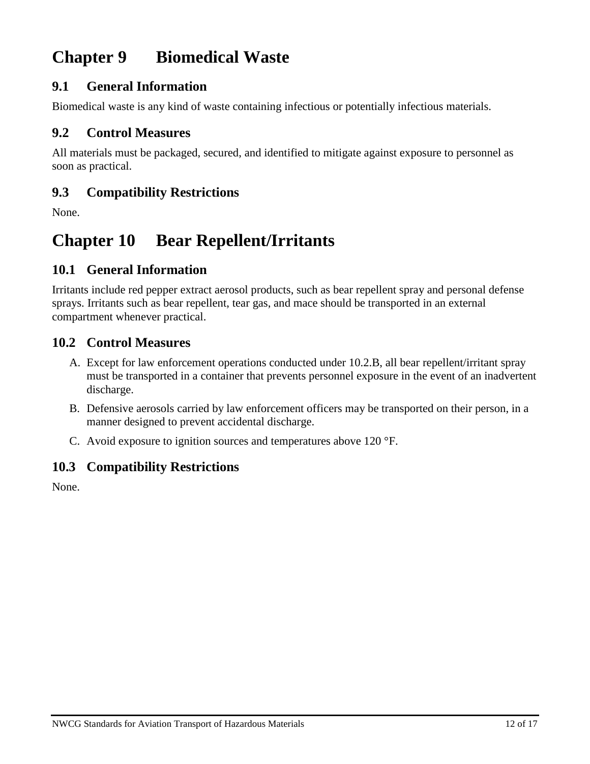### **Chapter 9 Biomedical Waste**

### **9.1 General Information**

Biomedical waste is any kind of waste containing infectious or potentially infectious materials.

#### **9.2 Control Measures**

All materials must be packaged, secured, and identified to mitigate against exposure to personnel as soon as practical.

### **9.3 Compatibility Restrictions**

None.

### **Chapter 10 Bear Repellent/Irritants**

### **10.1 General Information**

Irritants include red pepper extract aerosol products, such as bear repellent spray and personal defense sprays. Irritants such as bear repellent, tear gas, and mace should be transported in an external compartment whenever practical.

### **10.2 Control Measures**

- A. Except for law enforcement operations conducted under 10.2.B, all bear repellent/irritant spray must be transported in a container that prevents personnel exposure in the event of an inadvertent discharge.
- B. Defensive aerosols carried by law enforcement officers may be transported on their person, in a manner designed to prevent accidental discharge.
- C. Avoid exposure to ignition sources and temperatures above 120 °F.

### **10.3 Compatibility Restrictions**

None.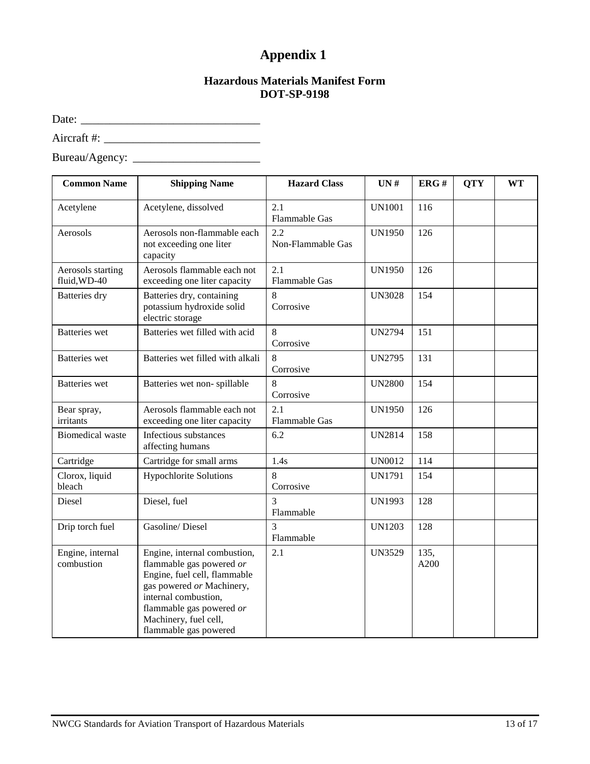### **Appendix 1**

#### **Hazardous Materials Manifest Form DOT-SP-9198**

<span id="page-18-0"></span>Date: \_\_\_\_\_\_\_\_\_\_\_\_\_\_\_\_\_\_\_\_\_\_\_\_\_\_\_\_\_\_\_

Aircraft #: \_\_\_\_\_\_\_\_\_\_\_\_\_\_\_\_\_\_\_\_\_\_\_\_\_\_\_

| <b>Common Name</b>                | <b>Shipping Name</b>                                                                                                                                                                                                        | <b>Hazard Class</b>         | UN#           | ERG#         | <b>QTY</b> | <b>WT</b> |
|-----------------------------------|-----------------------------------------------------------------------------------------------------------------------------------------------------------------------------------------------------------------------------|-----------------------------|---------------|--------------|------------|-----------|
| Acetylene                         | Acetylene, dissolved                                                                                                                                                                                                        | 2.1<br><b>Flammable Gas</b> | <b>UN1001</b> | 116          |            |           |
| Aerosols                          | Aerosols non-flammable each<br>not exceeding one liter<br>capacity                                                                                                                                                          | 2.2<br>Non-Flammable Gas    | <b>UN1950</b> | 126          |            |           |
| Aerosols starting<br>fluid, WD-40 | Aerosols flammable each not<br>exceeding one liter capacity                                                                                                                                                                 | 2.1<br><b>Flammable Gas</b> | <b>UN1950</b> | 126          |            |           |
| Batteries dry                     | Batteries dry, containing<br>potassium hydroxide solid<br>electric storage                                                                                                                                                  | 8<br>Corrosive              | <b>UN3028</b> | 154          |            |           |
| <b>Batteries</b> wet              | Batteries wet filled with acid                                                                                                                                                                                              | 8<br>Corrosive              | <b>UN2794</b> | 151          |            |           |
| <b>Batteries</b> wet              | Batteries wet filled with alkali                                                                                                                                                                                            | 8<br>Corrosive              | <b>UN2795</b> | 131          |            |           |
| <b>Batteries</b> wet              | Batteries wet non-spillable                                                                                                                                                                                                 | 8<br>Corrosive              | <b>UN2800</b> | 154          |            |           |
| Bear spray,<br>irritants          | Aerosols flammable each not<br>exceeding one liter capacity                                                                                                                                                                 | 2.1<br>Flammable Gas        | <b>UN1950</b> | 126          |            |           |
| <b>Biomedical</b> waste           | Infectious substances<br>affecting humans                                                                                                                                                                                   | 6.2                         | <b>UN2814</b> | 158          |            |           |
| Cartridge                         | Cartridge for small arms                                                                                                                                                                                                    | 1.4s                        | <b>UN0012</b> | 114          |            |           |
| Clorox, liquid<br>bleach          | <b>Hypochlorite Solutions</b>                                                                                                                                                                                               | 8<br>Corrosive              | <b>UN1791</b> | 154          |            |           |
| Diesel                            | Diesel, fuel                                                                                                                                                                                                                | $\overline{3}$<br>Flammable | <b>UN1993</b> | 128          |            |           |
| Drip torch fuel                   | Gasoline/Diesel                                                                                                                                                                                                             | 3<br>Flammable              | <b>UN1203</b> | 128          |            |           |
| Engine, internal<br>combustion    | Engine, internal combustion,<br>flammable gas powered or<br>Engine, fuel cell, flammable<br>gas powered or Machinery,<br>internal combustion,<br>flammable gas powered or<br>Machinery, fuel cell,<br>flammable gas powered | 2.1                         | <b>UN3529</b> | 135,<br>A200 |            |           |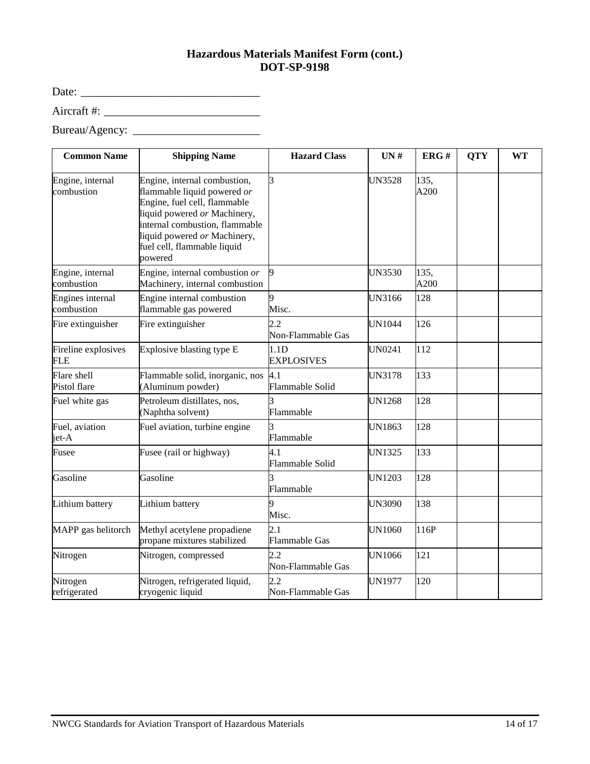#### **Hazardous Materials Manifest Form (cont.) DOT-SP-9198**

Date: \_\_\_\_\_\_\_\_\_\_\_\_\_\_\_\_\_\_\_\_\_\_\_\_\_\_\_\_\_\_\_

Aircraft #: \_\_\_\_\_\_\_\_\_\_\_\_\_\_\_\_\_\_\_\_\_\_\_\_\_\_\_

| <b>Common Name</b>                | <b>Shipping Name</b>                                                                                                                                                                                                                    | <b>Hazard Class</b>                   | UN#           | ERG#         | <b>QTY</b> | <b>WT</b> |
|-----------------------------------|-----------------------------------------------------------------------------------------------------------------------------------------------------------------------------------------------------------------------------------------|---------------------------------------|---------------|--------------|------------|-----------|
| Engine, internal<br>combustion    | Engine, internal combustion,<br>flammable liquid powered or<br>Engine, fuel cell, flammable<br>liquid powered or Machinery,<br>internal combustion, flammable<br>liquid powered or Machinery,<br>fuel cell, flammable liquid<br>powered | 3                                     | <b>UN3528</b> | 135,<br>A200 |            |           |
| Engine, internal<br>combustion    | Engine, internal combustion or<br>Machinery, internal combustion                                                                                                                                                                        | 9                                     | <b>UN3530</b> | 135,<br>A200 |            |           |
| Engines internal<br>combustion    | Engine internal combustion<br>flammable gas powered                                                                                                                                                                                     | 9<br>Misc.                            | <b>UN3166</b> | 128          |            |           |
| Fire extinguisher                 | Fire extinguisher                                                                                                                                                                                                                       | 2.2<br>Non-Flammable Gas              | <b>UN1044</b> | 126          |            |           |
| Fireline explosives<br><b>FLE</b> | Explosive blasting type E                                                                                                                                                                                                               | 1.1 <sub>D</sub><br><b>EXPLOSIVES</b> | UN0241        | 112          |            |           |
| Flare shell<br>Pistol flare       | Flammable solid, inorganic, nos<br>(Aluminum powder)                                                                                                                                                                                    | 4.1<br>Flammable Solid                | <b>UN3178</b> | 133          |            |           |
| Fuel white gas                    | Petroleum distillates, nos,<br>(Naphtha solvent)                                                                                                                                                                                        | Flammable                             | <b>UN1268</b> | 128          |            |           |
| Fuel, aviation<br>jet-A           | Fuel aviation, turbine engine                                                                                                                                                                                                           | Flammable                             | <b>UN1863</b> | 128          |            |           |
| Fusee                             | Fusee (rail or highway)                                                                                                                                                                                                                 | 4.1<br>Flammable Solid                | <b>UN1325</b> | 133          |            |           |
| Gasoline                          | Gasoline                                                                                                                                                                                                                                | Flammable                             | <b>UN1203</b> | 128          |            |           |
| Lithium battery                   | Lithium battery                                                                                                                                                                                                                         | Misc.                                 | <b>UN3090</b> | 138          |            |           |
| MAPP gas helitorch                | Methyl acetylene propadiene<br>propane mixtures stabilized                                                                                                                                                                              | 2.1<br><b>Flammable Gas</b>           | <b>UN1060</b> | 116P         |            |           |
| Nitrogen                          | Nitrogen, compressed                                                                                                                                                                                                                    | 2.2<br>Non-Flammable Gas              | <b>UN1066</b> | 121          |            |           |
| Nitrogen<br>refrigerated          | Nitrogen, refrigerated liquid,<br>cryogenic liquid                                                                                                                                                                                      | 2.2<br>Non-Flammable Gas              | <b>UN1977</b> | 120          |            |           |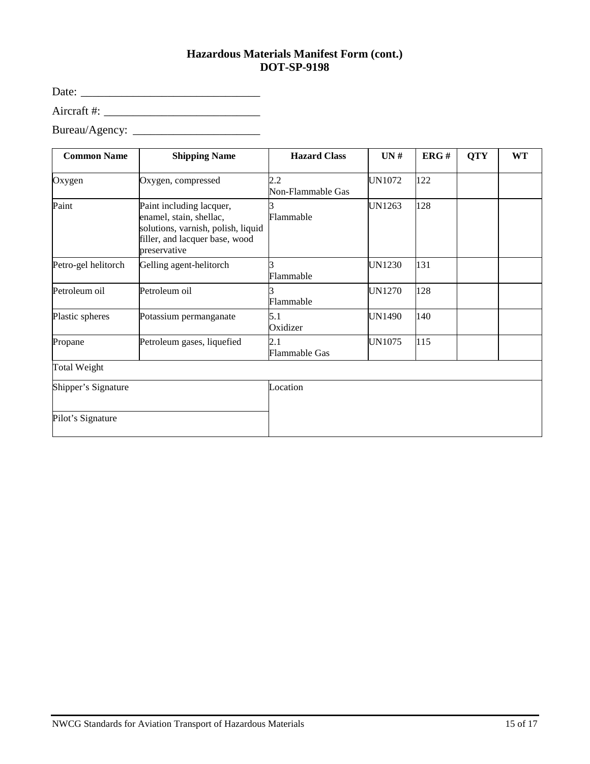#### **Hazardous Materials Manifest Form (cont.) DOT-SP-9198**

Date: \_\_\_\_\_\_\_\_\_\_\_\_\_\_\_\_\_\_\_\_\_\_\_\_\_\_\_\_\_\_\_

Aircraft #: \_\_\_\_\_\_\_\_\_\_\_\_\_\_\_\_\_\_\_\_\_\_\_\_\_\_\_

| <b>Common Name</b>  | <b>Shipping Name</b>                                                                                                                        | <b>Hazard Class</b>         | UN#           | ERG# | <b>QTY</b> | <b>WT</b> |
|---------------------|---------------------------------------------------------------------------------------------------------------------------------------------|-----------------------------|---------------|------|------------|-----------|
| Oxygen              | Oxygen, compressed                                                                                                                          | 2.2<br>Non-Flammable Gas    | UN1072        | 122  |            |           |
| Paint               | Paint including lacquer,<br>enamel, stain, shellac,<br>solutions, varnish, polish, liquid<br>filler, and lacquer base, wood<br>preservative | Flammable                   | <b>UN1263</b> | 128  |            |           |
| Petro-gel helitorch | Gelling agent-helitorch                                                                                                                     | Flammable                   | UN1230        | 131  |            |           |
| Petroleum oil       | Petroleum oil                                                                                                                               | Flammable                   | <b>UN1270</b> | 128  |            |           |
| Plastic spheres     | Potassium permanganate                                                                                                                      | 5.1<br>Oxidizer             | <b>UN1490</b> | 140  |            |           |
| Propane             | Petroleum gases, liquefied                                                                                                                  | 2.1<br><b>Flammable Gas</b> | <b>UN1075</b> | 115  |            |           |
| <b>Total Weight</b> |                                                                                                                                             |                             |               |      |            |           |
| Shipper's Signature |                                                                                                                                             | Location                    |               |      |            |           |
| Pilot's Signature   |                                                                                                                                             |                             |               |      |            |           |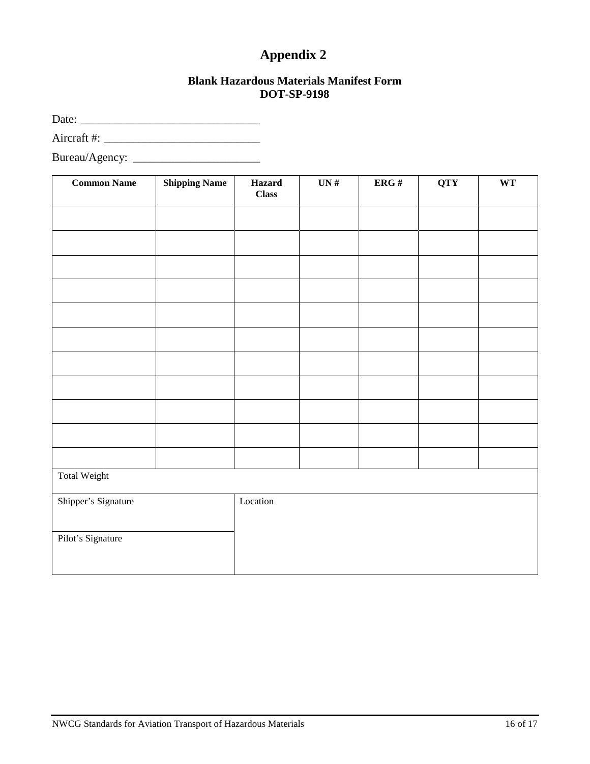### **Appendix 2**

#### **Blank Hazardous Materials Manifest Form DOT-SP-9198**

Date: \_\_\_\_\_\_\_\_\_\_\_\_\_\_\_\_\_\_\_\_\_\_\_\_\_\_\_\_\_\_\_

Aircraft #: \_\_\_\_\_\_\_\_\_\_\_\_\_\_\_\_\_\_\_\_\_\_\_\_\_\_\_

| <b>Common Name</b>  | <b>Shipping Name</b> | Hazard<br><b>Class</b> | UN# | ERG# | <b>QTY</b> | $\mathbf{W}\mathbf{T}$ |
|---------------------|----------------------|------------------------|-----|------|------------|------------------------|
|                     |                      |                        |     |      |            |                        |
|                     |                      |                        |     |      |            |                        |
|                     |                      |                        |     |      |            |                        |
|                     |                      |                        |     |      |            |                        |
|                     |                      |                        |     |      |            |                        |
|                     |                      |                        |     |      |            |                        |
|                     |                      |                        |     |      |            |                        |
|                     |                      |                        |     |      |            |                        |
|                     |                      |                        |     |      |            |                        |
|                     |                      |                        |     |      |            |                        |
|                     |                      |                        |     |      |            |                        |
| Total Weight        |                      |                        |     |      |            |                        |
| Shipper's Signature |                      | Location               |     |      |            |                        |
| Pilot's Signature   |                      |                        |     |      |            |                        |